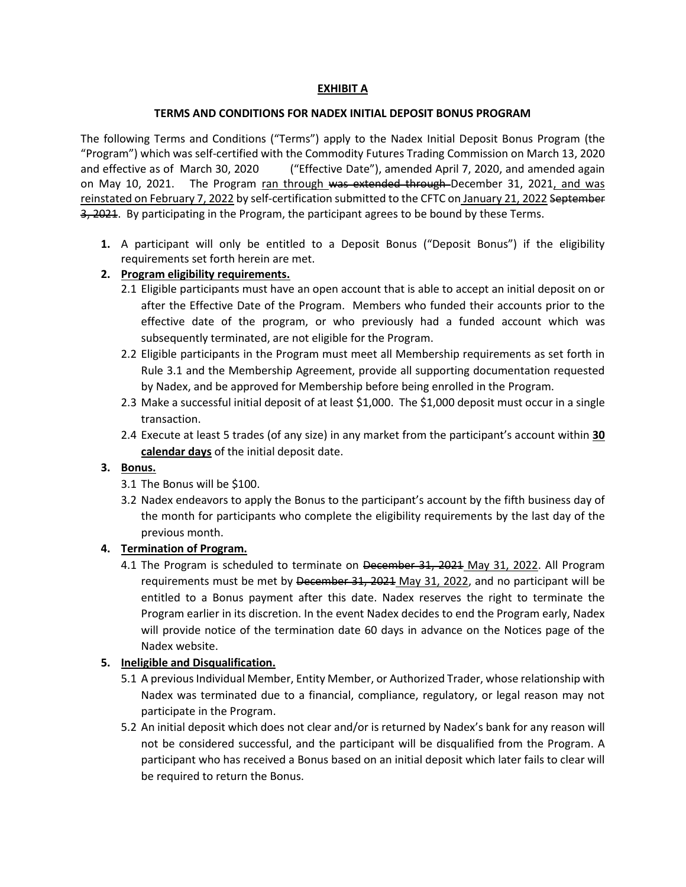# **EXHIBIT A**

#### **TERMS AND CONDITIONS FOR NADEX INITIAL DEPOSIT BONUS PROGRAM**

The following Terms and Conditions ("Terms") apply to the Nadex Initial Deposit Bonus Program (the "Program") which was self-certified with the Commodity Futures Trading Commission on March 13, 2020 and effective as of March 30, 2020 ("Effective Date"), amended April 7, 2020, and amended again on May 10, 2021. The Program ran through was extended through December 31, 2021, and was reinstated on February 7, 2022 by self-certification submitted to the CFTC on January 21, 2022 September 3, 2021. By participating in the Program, the participant agrees to be bound by these Terms.

**1.** A participant will only be entitled to a Deposit Bonus ("Deposit Bonus") if the eligibility requirements set forth herein are met.

#### **2. Program eligibility requirements.**

- 2.1 Eligible participants must have an open account that is able to accept an initial deposit on or after the Effective Date of the Program. Members who funded their accounts prior to the effective date of the program, or who previously had a funded account which was subsequently terminated, are not eligible for the Program.
- 2.2 Eligible participants in the Program must meet all Membership requirements as set forth in Rule 3.1 and the Membership Agreement, provide all supporting documentation requested by Nadex, and be approved for Membership before being enrolled in the Program.
- 2.3 Make a successful initial deposit of at least \$1,000. The \$1,000 deposit must occur in a single transaction.
- 2.4 Execute at least 5 trades (of any size) in any market from the participant's account within **30 calendar days** of the initial deposit date.

#### **3. Bonus.**

- 3.1 The Bonus will be \$100.
- 3.2 Nadex endeavors to apply the Bonus to the participant's account by the fifth business day of the month for participants who complete the eligibility requirements by the last day of the previous month.

# **4. Termination of Program.**

4.1 The Program is scheduled to terminate on December 31, 2021 May 31, 2022. All Program requirements must be met by December 31, 2021 May 31, 2022, and no participant will be entitled to a Bonus payment after this date. Nadex reserves the right to terminate the Program earlier in its discretion. In the event Nadex decides to end the Program early, Nadex will provide notice of the termination date 60 days in advance on the Notices page of the Nadex website.

#### **5. Ineligible and Disqualification.**

- 5.1 A previous Individual Member, Entity Member, or Authorized Trader, whose relationship with Nadex was terminated due to a financial, compliance, regulatory, or legal reason may not participate in the Program.
- 5.2 An initial deposit which does not clear and/or is returned by Nadex's bank for any reason will not be considered successful, and the participant will be disqualified from the Program. A participant who has received a Bonus based on an initial deposit which later fails to clear will be required to return the Bonus.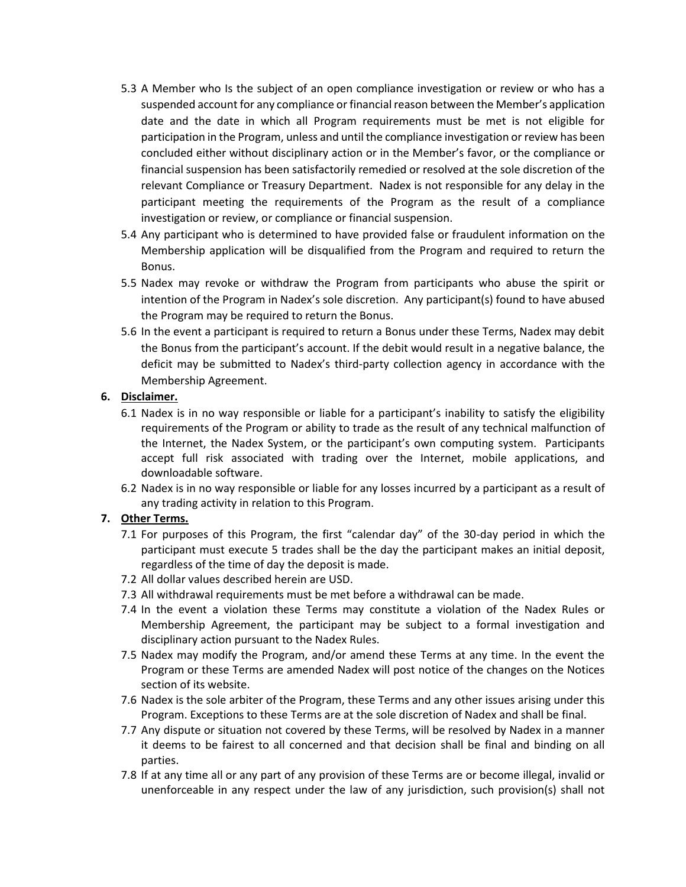- 5.3 A Member who Is the subject of an open compliance investigation or review or who has a suspended account for any compliance or financial reason between the Member's application date and the date in which all Program requirements must be met is not eligible for participation in the Program, unless and until the compliance investigation or review has been concluded either without disciplinary action or in the Member's favor, or the compliance or financial suspension has been satisfactorily remedied or resolved at the sole discretion of the relevant Compliance or Treasury Department. Nadex is not responsible for any delay in the participant meeting the requirements of the Program as the result of a compliance investigation or review, or compliance or financial suspension.
- 5.4 Any participant who is determined to have provided false or fraudulent information on the Membership application will be disqualified from the Program and required to return the Bonus.
- 5.5 Nadex may revoke or withdraw the Program from participants who abuse the spirit or intention of the Program in Nadex's sole discretion. Any participant(s) found to have abused the Program may be required to return the Bonus.
- 5.6 In the event a participant is required to return a Bonus under these Terms, Nadex may debit the Bonus from the participant's account. If the debit would result in a negative balance, the deficit may be submitted to Nadex's third-party collection agency in accordance with the Membership Agreement.

# **6. Disclaimer.**

- 6.1 Nadex is in no way responsible or liable for a participant's inability to satisfy the eligibility requirements of the Program or ability to trade as the result of any technical malfunction of the Internet, the Nadex System, or the participant's own computing system. Participants accept full risk associated with trading over the Internet, mobile applications, and downloadable software.
- 6.2 Nadex is in no way responsible or liable for any losses incurred by a participant as a result of any trading activity in relation to this Program.

# **7. Other Terms.**

- 7.1 For purposes of this Program, the first "calendar day" of the 30-day period in which the participant must execute 5 trades shall be the day the participant makes an initial deposit, regardless of the time of day the deposit is made.
- 7.2 All dollar values described herein are USD.
- 7.3 All withdrawal requirements must be met before a withdrawal can be made.
- 7.4 In the event a violation these Terms may constitute a violation of the Nadex Rules or Membership Agreement, the participant may be subject to a formal investigation and disciplinary action pursuant to the Nadex Rules.
- 7.5 Nadex may modify the Program, and/or amend these Terms at any time. In the event the Program or these Terms are amended Nadex will post notice of the changes on the Notices section of its website.
- 7.6 Nadex is the sole arbiter of the Program, these Terms and any other issues arising under this Program. Exceptions to these Terms are at the sole discretion of Nadex and shall be final.
- 7.7 Any dispute or situation not covered by these Terms, will be resolved by Nadex in a manner it deems to be fairest to all concerned and that decision shall be final and binding on all parties.
- 7.8 If at any time all or any part of any provision of these Terms are or become illegal, invalid or unenforceable in any respect under the law of any jurisdiction, such provision(s) shall not